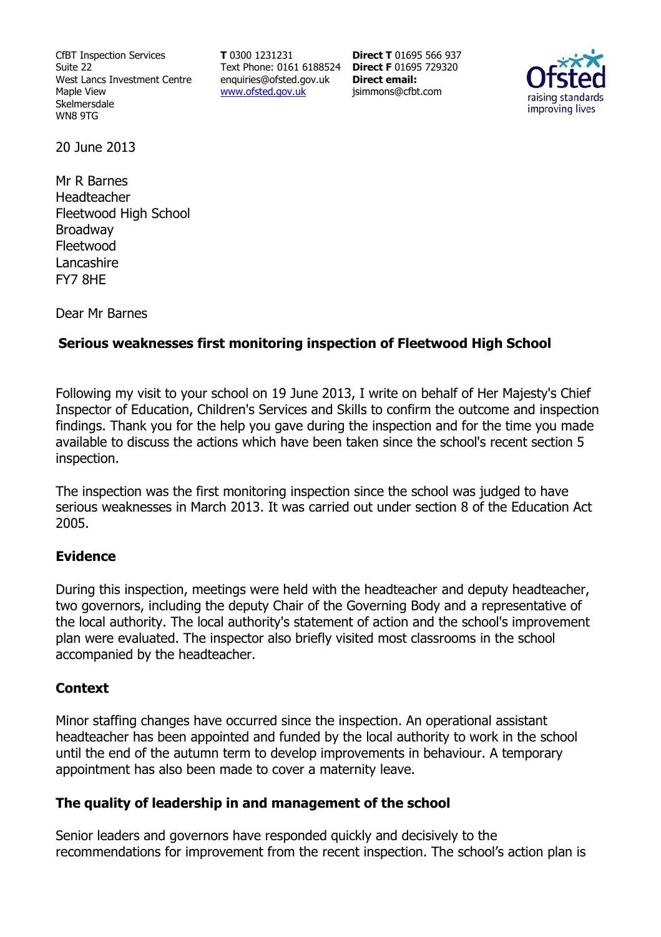CfBT Inspection Services Suite 22 West Lancs Investment Centre Maple View Skelmersdale WN8 9TG

**T** 0300 1231231 Text Phone: 0161 6188524 **Direct F** 01695 729320 enquiries@ofsted.gov.uk www.ofsted.gov.uk

**Direct T** 01695 566 937 **Direct email:**  jsimmons@cfbt.com



20 June 2013

Mr R Barnes Headteacher Fleetwood High School Broadway Fleetwood Lancashire FY7 8HE

Dear Mr Barnes

# **Serious weaknesses first monitoring inspection of Fleetwood High School**

Following my visit to your school on 19 June 2013, I write on behalf of Her Majesty's Chief Inspector of Education, Children's Services and Skills to confirm the outcome and inspection findings. Thank you for the help you gave during the inspection and for the time you made available to discuss the actions which have been taken since the school's recent section 5 inspection.

The inspection was the first monitoring inspection since the school was judged to have serious weaknesses in March 2013. It was carried out under section 8 of the Education Act 2005.

## **Evidence**

During this inspection, meetings were held with the headteacher and deputy headteacher, two governors, including the deputy Chair of the Governing Body and a representative of the local authority. The local authority's statement of action and the school's improvement plan were evaluated. The inspector also briefly visited most classrooms in the school accompanied by the headteacher.

## **Context**

Minor staffing changes have occurred since the inspection. An operational assistant headteacher has been appointed and funded by the local authority to work in the school until the end of the autumn term to develop improvements in behaviour. A temporary appointment has also been made to cover a maternity leave.

## **The quality of leadership in and management of the school**

Senior leaders and governors have responded quickly and decisively to the recommendations for improvement from the recent inspection. The school's action plan is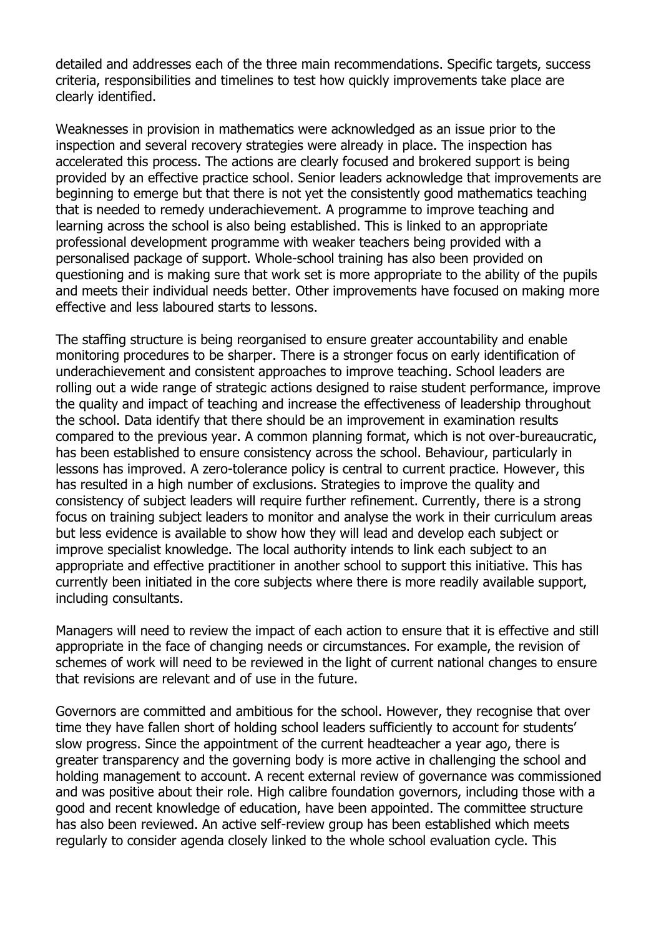detailed and addresses each of the three main recommendations. Specific targets, success criteria, responsibilities and timelines to test how quickly improvements take place are clearly identified.

Weaknesses in provision in mathematics were acknowledged as an issue prior to the inspection and several recovery strategies were already in place. The inspection has accelerated this process. The actions are clearly focused and brokered support is being provided by an effective practice school. Senior leaders acknowledge that improvements are beginning to emerge but that there is not yet the consistently good mathematics teaching that is needed to remedy underachievement. A programme to improve teaching and learning across the school is also being established. This is linked to an appropriate professional development programme with weaker teachers being provided with a personalised package of support. Whole-school training has also been provided on questioning and is making sure that work set is more appropriate to the ability of the pupils and meets their individual needs better. Other improvements have focused on making more effective and less laboured starts to lessons.

The staffing structure is being reorganised to ensure greater accountability and enable monitoring procedures to be sharper. There is a stronger focus on early identification of underachievement and consistent approaches to improve teaching. School leaders are rolling out a wide range of strategic actions designed to raise student performance, improve the quality and impact of teaching and increase the effectiveness of leadership throughout the school. Data identify that there should be an improvement in examination results compared to the previous year. A common planning format, which is not over-bureaucratic, has been established to ensure consistency across the school. Behaviour, particularly in lessons has improved. A zero-tolerance policy is central to current practice. However, this has resulted in a high number of exclusions. Strategies to improve the quality and consistency of subject leaders will require further refinement. Currently, there is a strong focus on training subject leaders to monitor and analyse the work in their curriculum areas but less evidence is available to show how they will lead and develop each subject or improve specialist knowledge. The local authority intends to link each subject to an appropriate and effective practitioner in another school to support this initiative. This has currently been initiated in the core subjects where there is more readily available support, including consultants.

Managers will need to review the impact of each action to ensure that it is effective and still appropriate in the face of changing needs or circumstances. For example, the revision of schemes of work will need to be reviewed in the light of current national changes to ensure that revisions are relevant and of use in the future.

Governors are committed and ambitious for the school. However, they recognise that over time they have fallen short of holding school leaders sufficiently to account for students' slow progress. Since the appointment of the current headteacher a year ago, there is greater transparency and the governing body is more active in challenging the school and holding management to account. A recent external review of governance was commissioned and was positive about their role. High calibre foundation governors, including those with a good and recent knowledge of education, have been appointed. The committee structure has also been reviewed. An active self-review group has been established which meets regularly to consider agenda closely linked to the whole school evaluation cycle. This